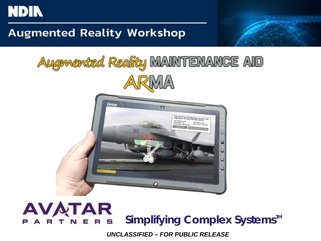

#### **Augmented Reality Workshop**

# Augmented Reality MAINTENANCE AID **ARMA**



#### **AVATAR** Simplifying Complex Systems<sup>™</sup> e

*UNCLASSIFIED – FOR PUBLIC RELEASE*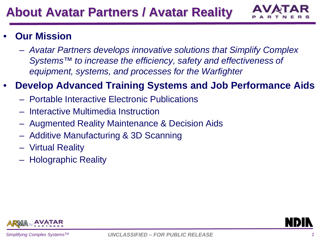

#### • **Our Mission**

– *Avatar Partners develops innovative solutions that Simplify Complex Systems™ to increase the efficiency, safety and effectiveness of equipment, systems, and processes for the Warfighter*

#### • **Develop Advanced Training Systems and Job Performance Aids**

- Portable Interactive Electronic Publications
- Interactive Multimedia Instruction
- Augmented Reality Maintenance & Decision Aids
- Additive Manufacturing & 3D Scanning
- Virtual Reality
- Holographic Reality

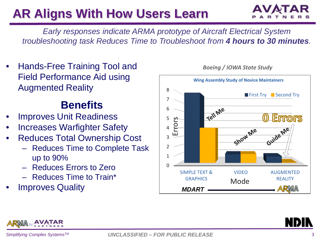### **AR Aligns With How Users Learn**



*Early responses indicate ARMA prototype of Aircraft Electrical System troubleshooting task Reduces Time to Troubleshoot from 4 hours to 30 minutes.*

• Hands-Free Training Tool and Field Performance Aid using Augmented Reality

### **Benefits**

- **Improves Unit Readiness**
- **Increases Warfighter Safety**
- Reduces Total Ownership Cost
	- Reduces Time to Complete Task up to 90%
	- Reduces Errors to Zero
	- Reduces Time to Train\*
- **Improves Quality**





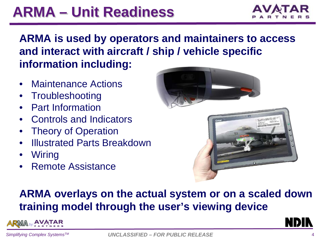## **ARMA – Unit Readiness**



#### **ARMA is used by operators and maintainers to access and interact with aircraft / ship / vehicle specific information including:**

- Maintenance Actions
- **Troubleshooting**
- Part Information
- Controls and Indicators
- **Theory of Operation**
- Illustrated Parts Breakdown
- Wiring
- Remote Assistance



#### **ARMA overlays on the actual system or on a scaled down training model through the user's viewing device**

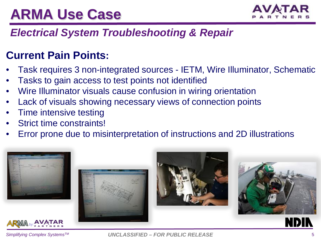## **ARMA Use Case**



#### *Electrical System Troubleshooting & Repair*

#### **Current Pain Points:**

- Task requires 3 non-integrated sources IETM, Wire Illuminator, Schematic
- Tasks to gain access to test points not identified
- Wire Illuminator visuals cause confusion in wiring orientation
- Lack of visuals showing necessary views of connection points
- Time intensive testing
- Strict time constraints!
- Error prone due to misinterpretation of instructions and 2D illustrations













 $S$ *implifying Complex Systems<sup>™</sup>*  $UNCLASSIFIED - FOR PUBLIC RELEASE$ *5*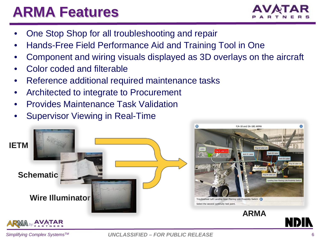### **ARMA Features**



- One Stop Shop for all troubleshooting and repair
- Hands-Free Field Performance Aid and Training Tool in One
- Component and wiring visuals displayed as 3D overlays on the aircraft
- Color coded and filterable
- Reference additional required maintenance tasks
- Architected to integrate to Procurement
- Provides Maintenance Task Validation
- Supervisor Viewing in Real-Time